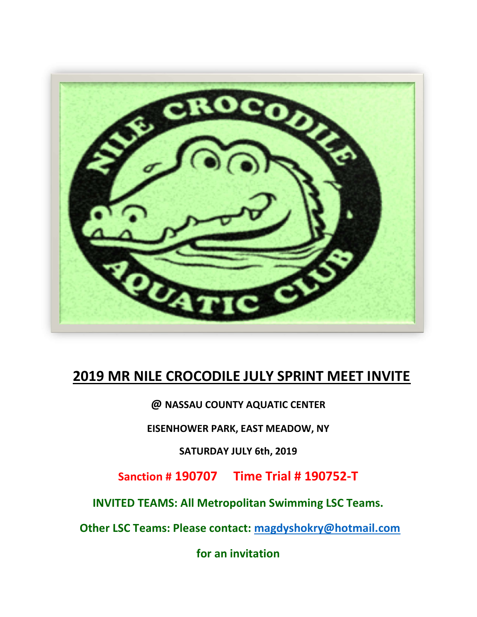

# 2019 MR NILE CROCODILE JULY SPRINT MEET INVITE

@ NASSAU COUNTY AQUATIC CENTER

EISENHOWER PARK, EAST MEADOW, NY

SATURDAY JULY 6th, 2019

Sanction # 190707 Time Trial # 190752-T

INVITED TEAMS: All Metropolitan Swimming LSC Teams.

Other LSC Teams: Please contact: magdyshokry@hotmail.com

for an invitation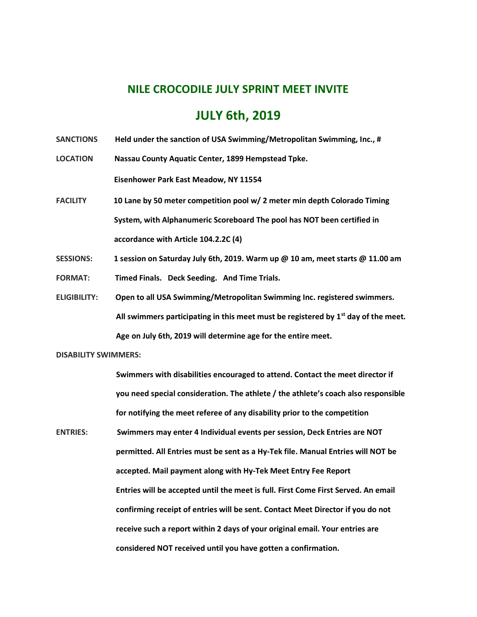### NILE CROCODILE JULY SPRINT MEET INVITE

### JULY 6th, 2019

SANCTIONS Held under the sanction of USA Swimming/Metropolitan Swimming, Inc., #

LOCATION Nassau County Aquatic Center, 1899 Hempstead Tpke.

Eisenhower Park East Meadow, NY 11554

- FACILITY 10 Lane by 50 meter competition pool w/ 2 meter min depth Colorado Timing System, with Alphanumeric Scoreboard The pool has NOT been certified in accordance with Article 104.2.2C (4)
- SESSIONS: 1 session on Saturday July 6th, 2019. Warm up @ 10 am, meet starts @ 11.00 am FORMAT: Timed Finals. Deck Seeding. And Time Trials.
- ELIGIBILITY: Open to all USA Swimming/Metropolitan Swimming Inc. registered swimmers. All swimmers participating in this meet must be registered by  $1<sup>st</sup>$  day of the meet. Age on July 6th, 2019 will determine age for the entire meet.

#### DISABILITY SWIMMERS:

 Swimmers with disabilities encouraged to attend. Contact the meet director if you need special consideration. The athlete / the athlete's coach also responsible for notifying the meet referee of any disability prior to the competition

ENTRIES: Swimmers may enter 4 Individual events per session, Deck Entries are NOT permitted. All Entries must be sent as a Hy-Tek file. Manual Entries will NOT be accepted. Mail payment along with Hy-Tek Meet Entry Fee Report Entries will be accepted until the meet is full. First Come First Served. An email confirming receipt of entries will be sent. Contact Meet Director if you do not receive such a report within 2 days of your original email. Your entries are considered NOT received until you have gotten a confirmation.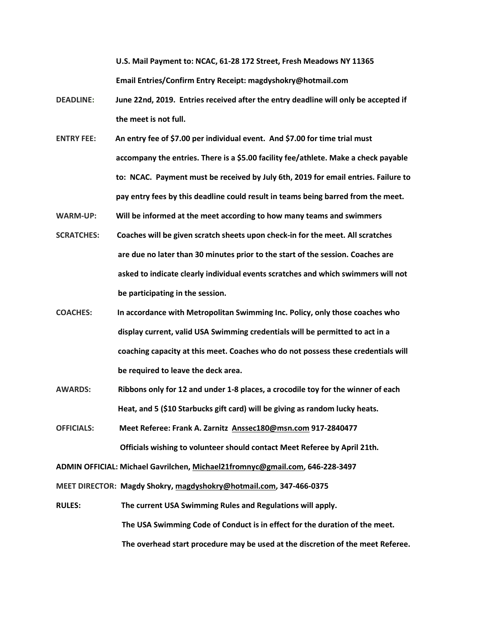U.S. Mail Payment to: NCAC, 61-28 172 Street, Fresh Meadows NY 11365 Email Entries/Confirm Entry Receipt: magdyshokry@hotmail.com

- DEADLINE: June 22nd, 2019. Entries received after the entry deadline will only be accepted if the meet is not full.
- ENTRY FEE: An entry fee of \$7.00 per individual event. And \$7.00 for time trial must accompany the entries. There is a \$5.00 facility fee/athlete. Make a check payable to: NCAC. Payment must be received by July 6th, 2019 for email entries. Failure to pay entry fees by this deadline could result in teams being barred from the meet.
- WARM-UP: Will be informed at the meet according to how many teams and swimmers
- SCRATCHES: Coaches will be given scratch sheets upon check-in for the meet. All scratches are due no later than 30 minutes prior to the start of the session. Coaches are asked to indicate clearly individual events scratches and which swimmers will not be participating in the session.
- COACHES: In accordance with Metropolitan Swimming Inc. Policy, only those coaches who display current, valid USA Swimming credentials will be permitted to act in a coaching capacity at this meet. Coaches who do not possess these credentials will be required to leave the deck area.
- AWARDS: Ribbons only for 12 and under 1-8 places, a crocodile toy for the winner of each Heat, and 5 (\$10 Starbucks gift card) will be giving as random lucky heats.
- OFFICIALS: Meet Referee: Frank A. Zarnitz Anssec180@msn.com 917-2840477 Officials wishing to volunteer should contact Meet Referee by April 21th.

ADMIN OFFICIAL: Michael Gavrilchen, Michael21fromnyc@gmail.com, 646-228-3497

MEET DIRECTOR: Magdy Shokry, magdyshokry@hotmail.com, 347-466-0375

RULES: The current USA Swimming Rules and Regulations will apply. The USA Swimming Code of Conduct is in effect for the duration of the meet. The overhead start procedure may be used at the discretion of the meet Referee.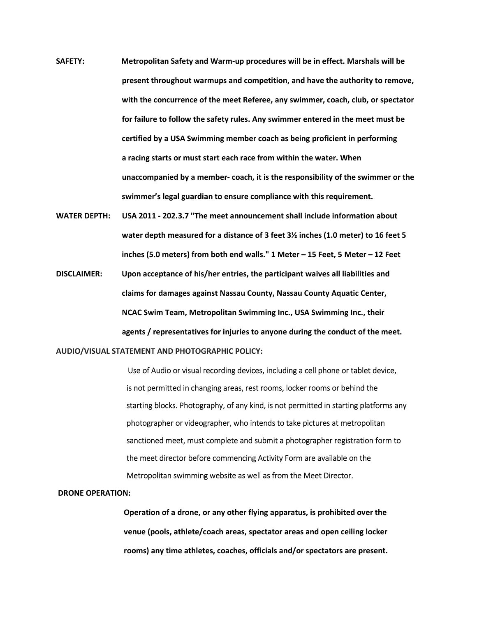- SAFETY: Metropolitan Safety and Warm-up procedures will be in effect. Marshals will be present throughout warmups and competition, and have the authority to remove, with the concurrence of the meet Referee, any swimmer, coach, club, or spectator for failure to follow the safety rules. Any swimmer entered in the meet must be certified by a USA Swimming member coach as being proficient in performing a racing starts or must start each race from within the water. When unaccompanied by a member- coach, it is the responsibility of the swimmer or the swimmer's legal guardian to ensure compliance with this requirement.
- WATER DEPTH: USA 2011 202.3.7 "The meet announcement shall include information about water depth measured for a distance of 3 feet 3½ inches (1.0 meter) to 16 feet 5 inches (5.0 meters) from both end walls." 1 Meter – 15 Feet, 5 Meter – 12 Feet
- DISCLAIMER: Upon acceptance of his/her entries, the participant waives all liabilities and claims for damages against Nassau County, Nassau County Aquatic Center, NCAC Swim Team, Metropolitan Swimming Inc., USA Swimming Inc., their agents / representatives for injuries to anyone during the conduct of the meet.

AUDIO/VISUAL STATEMENT AND PHOTOGRAPHIC POLICY:

 Use of Audio or visual recording devices, including a cell phone or tablet device, is not permitted in changing areas, rest rooms, locker rooms or behind the starting blocks. Photography, of any kind, is not permitted in starting platforms any photographer or videographer, who intends to take pictures at metropolitan sanctioned meet, must complete and submit a photographer registration form to the meet director before commencing Activity Form are available on the Metropolitan swimming website as well as from the Meet Director.

#### DRONE OPERATION:

 Operation of a drone, or any other flying apparatus, is prohibited over the venue (pools, athlete/coach areas, spectator areas and open ceiling locker rooms) any time athletes, coaches, officials and/or spectators are present.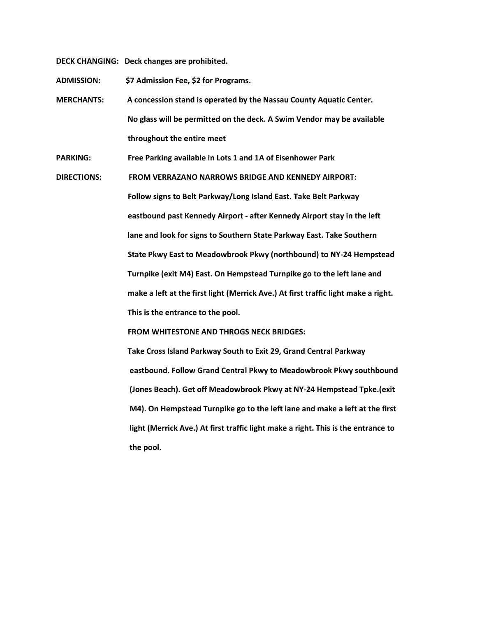DECK CHANGING: Deck changes are prohibited.

ADMISSION: \$7 Admission Fee, \$2 for Programs.

MERCHANTS: A concession stand is operated by the Nassau County Aquatic Center. No glass will be permitted on the deck. A Swim Vendor may be available throughout the entire meet

PARKING: Free Parking available in Lots 1 and 1A of Eisenhower Park

DIRECTIONS: FROM VERRAZANO NARROWS BRIDGE AND KENNEDY AIRPORT: Follow signs to Belt Parkway/Long Island East. Take Belt Parkway eastbound past Kennedy Airport - after Kennedy Airport stay in the left lane and look for signs to Southern State Parkway East. Take Southern State Pkwy East to Meadowbrook Pkwy (northbound) to NY-24 Hempstead Turnpike (exit M4) East. On Hempstead Turnpike go to the left lane and make a left at the first light (Merrick Ave.) At first traffic light make a right. This is the entrance to the pool.

FROM WHITESTONE AND THROGS NECK BRIDGES:

 Take Cross Island Parkway South to Exit 29, Grand Central Parkway eastbound. Follow Grand Central Pkwy to Meadowbrook Pkwy southbound (Jones Beach). Get off Meadowbrook Pkwy at NY-24 Hempstead Tpke.(exit M4). On Hempstead Turnpike go to the left lane and make a left at the first light (Merrick Ave.) At first traffic light make a right. This is the entrance to the pool.